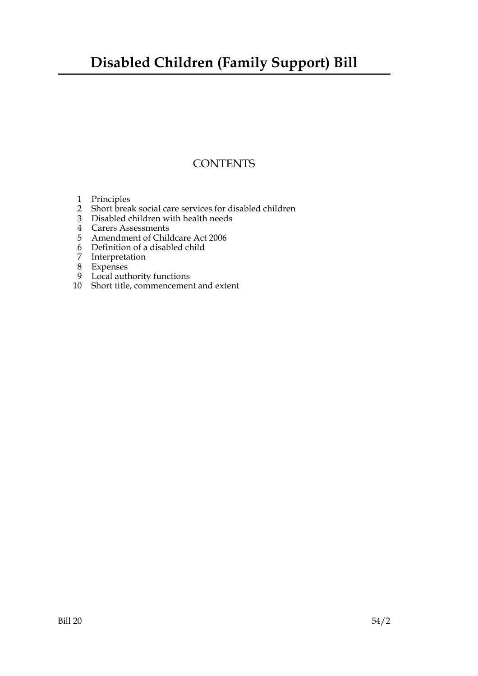### **Disabled Children (Family Support) Bill**

### **CONTENTS**

- 1 Principles
- 2 Short break social care services for disabled children
- 3 Disabled children with health needs
- 4 Carers Assessments
- 5 Amendment of Childcare Act 2006
- 6 Definition of a disabled child
- 7 Interpretation
- 8 Expenses
- 9 Local authority functions
- 10 Short title, commencement and extent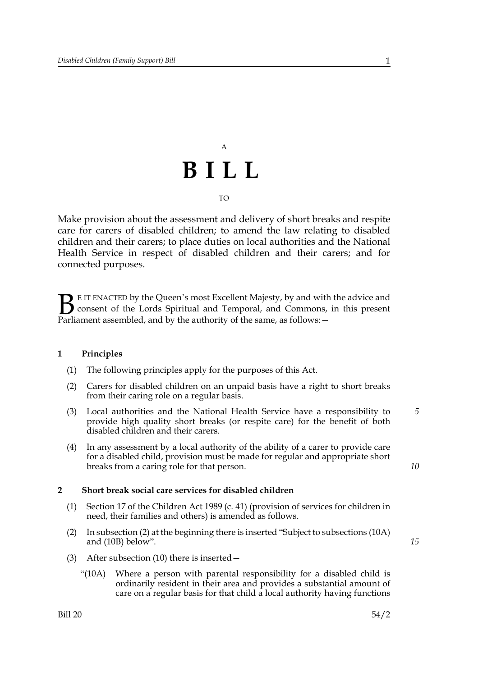## A **BILL** TO

Make provision about the assessment and delivery of short breaks and respite care for carers of disabled children; to amend the law relating to disabled children and their carers; to place duties on local authorities and the National Health Service in respect of disabled children and their carers; and for connected purposes.

E IT ENACTED by the Queen's most Excellent Majesty, by and with the advice and consent of the Lords Spiritual and Temporal, and Commons, in this present **B** E IT ENACTED by the Queen's most Excellent Majesty, by and with consent of the Lords Spiritual and Temporal, and Commons, Parliament assembled, and by the authority of the same, as follows:

#### **1 Principles**

- (1) The following principles apply for the purposes of this Act.
- (2) Carers for disabled children on an unpaid basis have a right to short breaks from their caring role on a regular basis.
- (3) Local authorities and the National Health Service have a responsibility to provide high quality short breaks (or respite care) for the benefit of both disabled children and their carers. *5*
- (4) In any assessment by a local authority of the ability of a carer to provide care for a disabled child, provision must be made for regular and appropriate short breaks from a caring role for that person.

#### **2 Short break social care services for disabled children**

- (1) Section 17 of the Children Act 1989 (c. 41) (provision of services for children in need, their families and others) is amended as follows.
- (2) In subsection (2) at the beginning there is inserted "Subject to subsections (10A) and (10B) below".
- *15*

- (3) After subsection (10) there is inserted—
	- "(10A) Where a person with parental responsibility for a disabled child is ordinarily resident in their area and provides a substantial amount of care on a regular basis for that child a local authority having functions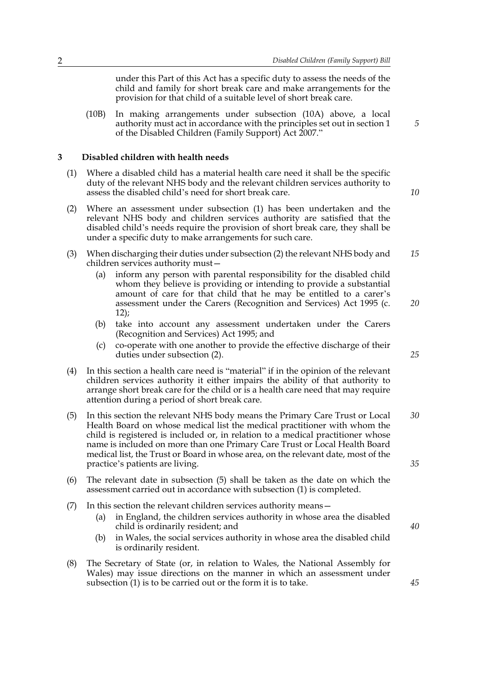under this Part of this Act has a specific duty to assess the needs of the child and family for short break care and make arrangements for the provision for that child of a suitable level of short break care.

(10B) In making arrangements under subsection (10A) above, a local authority must act in accordance with the principles set out in section 1 of the Disabled Children (Family Support) Act 2007."

#### **3 Disabled children with health needs**

- (1) Where a disabled child has a material health care need it shall be the specific duty of the relevant NHS body and the relevant children services authority to assess the disabled child's need for short break care.
- (2) Where an assessment under subsection (1) has been undertaken and the relevant NHS body and children services authority are satisfied that the disabled child's needs require the provision of short break care, they shall be under a specific duty to make arrangements for such care.
- (3) When discharging their duties under subsection (2) the relevant NHS body and children services authority must— *15*
	- (a) inform any person with parental responsibility for the disabled child whom they believe is providing or intending to provide a substantial amount of care for that child that he may be entitled to a carer's assessment under the Carers (Recognition and Services) Act 1995 (c. 12);
	- (b) take into account any assessment undertaken under the Carers (Recognition and Services) Act 1995; and
	- (c) co-operate with one another to provide the effective discharge of their duties under subsection (2).
- (4) In this section a health care need is "material" if in the opinion of the relevant children services authority it either impairs the ability of that authority to arrange short break care for the child or is a health care need that may require attention during a period of short break care.
- (5) In this section the relevant NHS body means the Primary Care Trust or Local Health Board on whose medical list the medical practitioner with whom the child is registered is included or, in relation to a medical practitioner whose name is included on more than one Primary Care Trust or Local Health Board medical list, the Trust or Board in whose area, on the relevant date, most of the practice's patients are living. *30 35*
- (6) The relevant date in subsection (5) shall be taken as the date on which the assessment carried out in accordance with subsection (1) is completed.
- (7) In this section the relevant children services authority means—
	- (a) in England, the children services authority in whose area the disabled child is ordinarily resident; and
	- (b) in Wales, the social services authority in whose area the disabled child is ordinarily resident.
- (8) The Secretary of State (or, in relation to Wales, the National Assembly for Wales) may issue directions on the manner in which an assessment under subsection (1) is to be carried out or the form it is to take.

*10*

*5*

*25*

*20*

*40*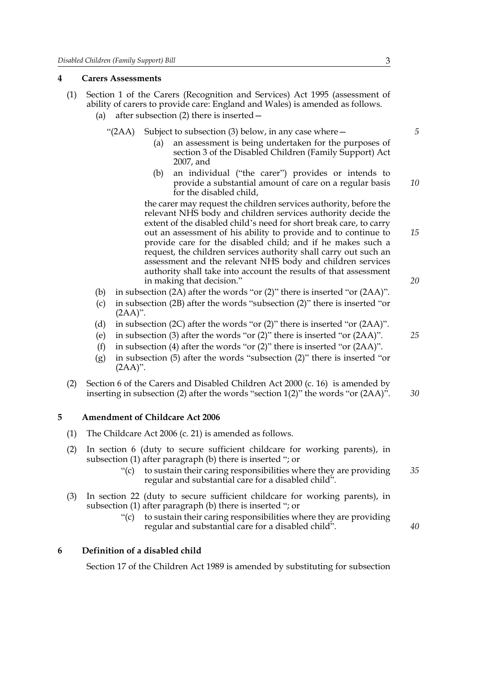#### **4 Carers Assessments**

- (1) Section 1 of the Carers (Recognition and Services) Act 1995 (assessment of ability of carers to provide care: England and Wales) is amended as follows.
	- (a) after subsection (2) there is inserted—
		- " $(2AA)$  Subject to subsection  $(3)$  below, in any case where  $-$ 
			- (a) an assessment is being undertaken for the purposes of section 3 of the Disabled Children (Family Support) Act 2007, and
			- (b) an individual ("the carer") provides or intends to provide a substantial amount of care on a regular basis for the disabled child,

the carer may request the children services authority, before the relevant NHS body and children services authority decide the extent of the disabled child's need for short break care, to carry out an assessment of his ability to provide and to continue to provide care for the disabled child; and if he makes such a request, the children services authority shall carry out such an assessment and the relevant NHS body and children services authority shall take into account the results of that assessment in making that decision."

- (b) in subsection (2A) after the words "or (2)" there is inserted "or (2AA)".
- (c) in subsection (2B) after the words "subsection (2)" there is inserted "or  $(2AA)$ ".
- (d) in subsection (2C) after the words "or (2)" there is inserted "or (2AA)".
- (e) in subsection (3) after the words "or (2)" there is inserted "or (2AA)".
- (f) in subsection (4) after the words "or (2)" there is inserted "or (2AA)".
- (g) in subsection (5) after the words "subsection (2)" there is inserted "or (2AA)".
- (2) Section 6 of the Carers and Disabled Children Act 2000 (c. 16) is amended by inserting in subsection (2) after the words "section  $1(2)$ " the words "or  $(2AA)$ ". *30*

#### **5 Amendment of Childcare Act 2006**

- (1) The Childcare Act 2006 (c. 21) is amended as follows.
- (2) In section 6 (duty to secure sufficient childcare for working parents), in subsection (1) after paragraph (b) there is inserted "; or
	- $\degree$  (c) to sustain their caring responsibilities where they are providing regular and substantial care for a disabled child". *35*
- (3) In section 22 (duty to secure sufficient childcare for working parents), in subsection (1) after paragraph (b) there is inserted "; or
	- "(c) to sustain their caring responsibilities where they are providing regular and substantial care for a disabled child".

#### **6 Definition of a disabled child**

Section 17 of the Children Act 1989 is amended by substituting for subsection

*5*

*10*

*15*

*20*

*25*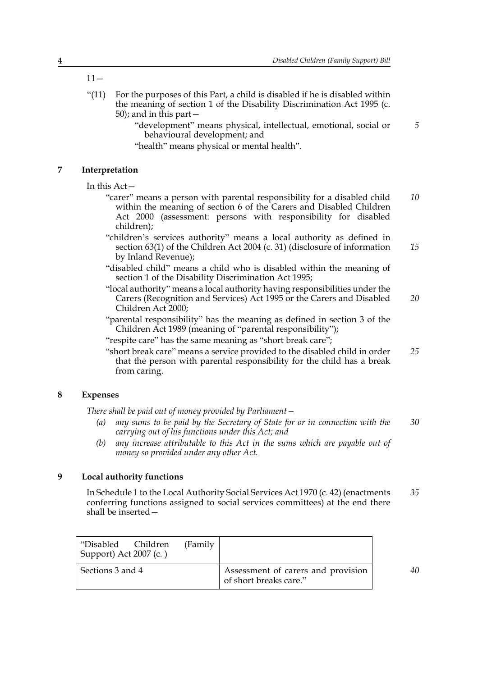$11 -$ 

- " $(11)$  For the purposes of this Part, a child is disabled if he is disabled within the meaning of section 1 of the Disability Discrimination Act 1995 (c. 50); and in this part—
	- "development" means physical, intellectual, emotional, social or behavioural development; and
	- "health" means physical or mental health".

#### **7 Interpretation**

In this Act—

- "carer" means a person with parental responsibility for a disabled child within the meaning of section 6 of the Carers and Disabled Children Act 2000 (assessment: persons with responsibility for disabled children); *10*
- "children's services authority" means a local authority as defined in section 63(1) of the Children Act 2004 (c. 31) (disclosure of information by Inland Revenue); *15*
- "disabled child" means a child who is disabled within the meaning of section 1 of the Disability Discrimination Act 1995;
- "local authority" means a local authority having responsibilities under the Carers (Recognition and Services) Act 1995 or the Carers and Disabled Children Act 2000; *20*
- "parental responsibility" has the meaning as defined in section 3 of the Children Act 1989 (meaning of "parental responsibility");
- "respite care" has the same meaning as "short break care";
- "short break care" means a service provided to the disabled child in order that the person with parental responsibility for the child has a break from caring. *25*

#### **8 Expenses**

*There shall be paid out of money provided by Parliament—*

- *(a) any sums to be paid by the Secretary of State for or in connection with the carrying out of his functions under this Act; and 30*
- *(b) any increase attributable to this Act in the sums which are payable out of money so provided under any other Act.*

#### **9 Local authority functions**

In Schedule 1 to the Local Authority Social Services Act 1970 (c. 42) (enactments conferring functions assigned to social services committees) at the end there shall be inserted— *35*

| "Disabled Children<br>Support) Act 2007 (c.) | (Family |                                                              |
|----------------------------------------------|---------|--------------------------------------------------------------|
| Sections 3 and 4                             |         | Assessment of carers and provision<br>of short breaks care." |

*40*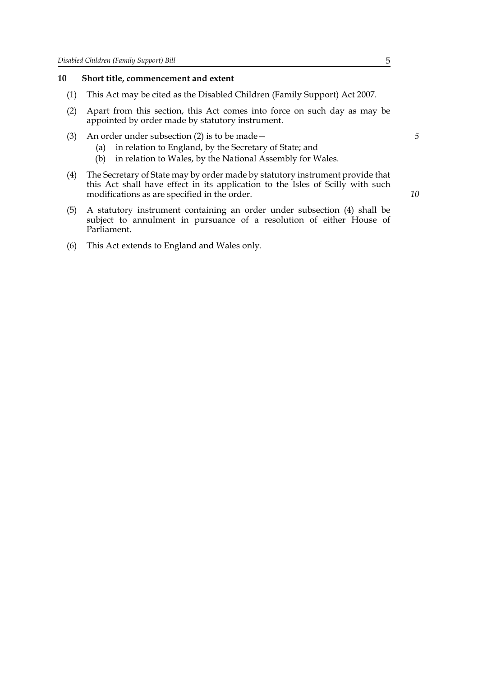#### **10 Short title, commencement and extent**

- (1) This Act may be cited as the Disabled Children (Family Support) Act 2007.
- (2) Apart from this section, this Act comes into force on such day as may be appointed by order made by statutory instrument.
- (3) An order under subsection (2) is to be made—
	- (a) in relation to England, by the Secretary of State; and
	- (b) in relation to Wales, by the National Assembly for Wales.
- (4) The Secretary of State may by order made by statutory instrument provide that this Act shall have effect in its application to the Isles of Scilly with such modifications as are specified in the order.
- (5) A statutory instrument containing an order under subsection (4) shall be subject to annulment in pursuance of a resolution of either House of Parliament.
- (6) This Act extends to England and Wales only.

*10*